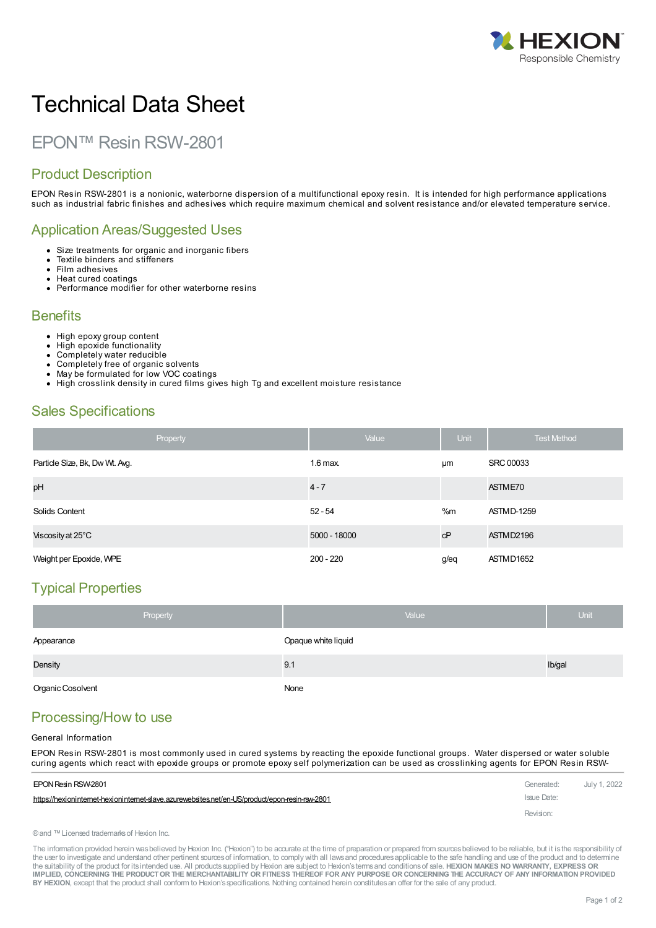

# Technical Data Sheet

# EPON™ Resin RSW-2801

### Product Description

EPON Resin RSW-2801 is a nonionic, waterborne dispersion of a multifunctional epoxy resin. It is intended for high performance applications such as industrial fabric finishes and adhesives which require maximum chemical and solvent resistance and/or elevated temperature service.

#### Application Areas/Suggested Uses

- Size treatments for organic and inorganic fibers
- Textile binders and stiffeners  $\bullet$
- Film adhesives Heat cured coatings
- Performance modifier for other waterborne resins

#### **Benefits**

- High epoxy group content
- High epoxide functionality
- Completely water reducible
- Completely free of organic solvents May be formulated for low VOC coatings
- High crosslink density in cured films gives high Tg and excellent moisture resistance  $\bullet$

#### Sales Specifications

| Property                       | Value        | <b>Unit</b> | <b>Test Method</b> |
|--------------------------------|--------------|-------------|--------------------|
| Particle Size, Bk, Dw Wt. Avg. | $1.6$ max.   | μm          | <b>SRC 00033</b>   |
| pH                             | $4 - 7$      |             | ASTME70            |
| Solids Content                 | $52 - 54$    | %m          | <b>ASTMD-1259</b>  |
| Viscosity at 25°C              | 5000 - 18000 | cP          | ASTMD2196          |
| Weight per Epoxide, WPE        | $200 - 220$  | g/eq        | ASTMD1652          |

# Typical Properties

| Property                 | Value               | <b>Unit</b> |
|--------------------------|---------------------|-------------|
| Appearance               | Opaque white liquid |             |
| Density                  | 9.1                 | Ib/gal      |
| <b>Organic Cosolvent</b> | None                |             |

# Processing/How to use

#### General Information

EPON Resin RSW-2801 is most commonly used in cured systems by reacting the epoxide functional groups. Water dispersed or water soluble curing agents which react with epoxide groups or [promote](https://hexioninternet-hexioninternet-slave.azurewebsites.net/en-US/product/epon-resin-rsw-2801) epoxy self polymerization can be used as crosslinking agents for EPON Resin RSW-

| EPON Resin RSW-2801                                                                           | Generated:  | July 1, 2022 |
|-----------------------------------------------------------------------------------------------|-------------|--------------|
| https://hexionintemet-hexionintemet-slave.azurewebsites.net/en-US/product/epon-resin-rsw-2801 | Issue Date: |              |
|                                                                                               | Revision:   |              |

® and ™ Licensed trademarks of Hexion Inc.

The information provided herein was believed by Hexion Inc. ("Hexion") to be accurate at the time of preparation or prepared from sources believed to be reliable, but it is the responsibility of the user to investigate and understand other pertinent sources of information, to comply with all laws and procedures applicable to the safe handling and use of the product and to determine the suitability of the product for itsintended use. All productssupplied by Hexion are subject to Hexion'stermsand conditionsof sale. **HEXION MAKES NO WARRANTY, EXPRESS OR** IMPLIED, CONCERNING THE PRODUCT OR THE MERCHANTABILITY OR FITNESS THEREOF FOR ANY PURPOSE OR CONCERNING THE ACCURACY OF ANY INFORMATION PROVIDED **BY HEXION**, except that the product shall conform to Hexion'sspecifications. Nothing contained herein constitutesan offer for the sale of any product.